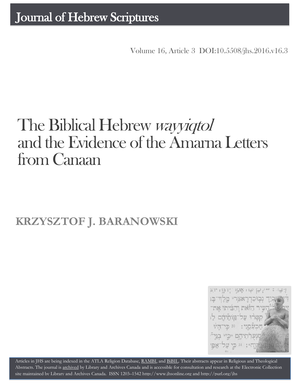Volume 16, Article 3 DOI:10.5508/jhs.2016.v16.3

# The Biblical Hebrew *wayyiqtol* and the Evidence of the Amarna Letters from Canaan

## **KRZYSZTOF J. BARANOWSKI**



Articles in JHS are being indexed in the ATLA Religion Database, [RAMBI,](http://jnul.huji.ac.il/rambi/) an[d BiBIL.](http://bibil.net/) Their abstracts appear in Religious and Theological Abstracts. The journal is [archived](http://epe.lac-bac.gc.ca/100/201/300/journal_hebrew/index.html) by Library and Archives Canada and is accessible for consultation and research at the Electronic Collection site maintained b[y Library and Archives Canada.](http://collectionscanada.ca/electroniccollection/003008-200-e.html) ISSN 1203–154[2 http://www.jhsonline.org](http://www.jhsonline.org/) and<http://purl.org/jhs>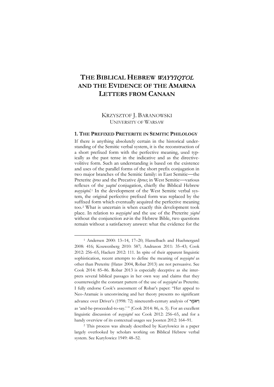### **THE BIBLICAL HEBREW** WAYYIQTOL **AND THE EVIDENCE OF THE AMARNA LETTERS FROM CANAAN**

#### KRZYSZTOF J. BARANOWSKI UNIVERSITY OF WARSAW

#### **1. THE PREFIXED PRETERITE IN SEMITIC PHILOLOGY**

If there is anything absolutely certain in the historical understanding of the Semitic verbal system, it is the reconstruction of a short prefixed form with the perfective meaning, used typically as the past tense in the indicative and as the directivevolitive form. Such an understanding is based on the existence and uses of the parallel forms of the short prefix conjugation in two major branches of the Semitic family: in East Semitic—the Preterite *iprus* and the Precative *liprus*; in West Semitic—various reflexes of the *yaqtul* conjugation, chiefly the Biblical Hebrew *wayyiqtol*.[1](#page-1-0) In the development of the West Semitic verbal system, the original perfective prefixed form was replaced by the suffixed form which eventually acquired the perfective meaning too.[2](#page-1-1) What is uncertain is when exactly this development took place. In relation to *wayyiqtol* and the use of the Preterite *yiqtol* without the conjunction  $w\overline{\theta}$  in the Hebrew Bible, two questions remain without a satisfactory answer: what the evidence for the

<span id="page-1-0"></span><sup>1</sup> Andersen 2000: 13–14, 17–20; Hasselbach and Huehnergard 2008: 416; Kouwenberg 2010: 587; Andrason 2011: 35–43; Cook 2012: 256–65, Hackett 2012: 111. In spite of their apparent linguistic sophistication, recent attempts to define the meaning of *wayyiqtol* as other than Preterite (Hatav 2004, Robar 2013) are not persuasive. See Cook 2014: 85–86. Robar 2013 is especially deceptive as she interprets several biblical passages in her own way and claims that they counterweight the constant pattern of the use of *wayyiqtol* as Preterite. I fully endorse Cook's assessment of Robar's paper: "Her appeal to Neo-Aramaic is unconvincing and her theory presents no significant advance over Driver's (1998: 72) nineteenth-century analysis of יואמֶר as 'and-he-proceeded-to-say.' " (Cook 2014: 86, n. 5). For an excellent linguistic discussion of *wayyiqtol* see Cook 2012: 256–65, and for a handy overview of its contextual usages see Joosten 2012: 164–91.

<span id="page-1-1"></span><sup>2</sup> This process was already described by Kuryłowicz in a paper largely overlooked by scholars working on Biblical Hebrew verbal system. See Kuryłowicz 1949: 48–52.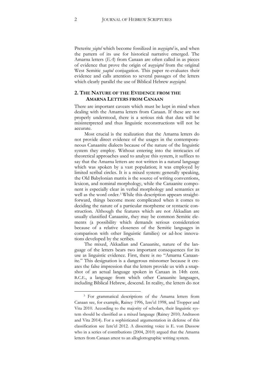Preterite *yiqtol* which become fossilized in *wayyiqtol* is, and when the pattern of its use for historical narrative emerged. The Amarna letters (*EA*) from Canaan are often called in as pieces of evidence that prove the origin of *wayyiqtol* from the original West Semitic *yaqtul* conjugation. This paper re-evaluates their evidence and calls attention to several passages of the letters which clearly parallel the use of Biblical Hebrew *wayyiqtol*.

#### **2. THE NATURE OF THE EVIDENCE FROM THE AMARNA LETTERS FROM CANAAN**

There are important caveats which must be kept in mind when dealing with the Amarna letters from Canaan. If these are not properly understood, there is a serious risk that data will be misinterpreted and thus linguistic reconstructions will not be accurate.

Most crucial is the realization that the Amarna letters do not provide direct evidence of the usages in the contemporaneous Canaanite dialects because of the nature of the linguistic system they employ. Without entering into the intricacies of theoretical approaches used to analyze this system, it suffices to say that the Amarna letters are not written in a natural language which was spoken by a vast population; it was employed by limited scribal circles. It is a mixed system: generally speaking, the Old Babylonian matrix is the source of writing conventions, lexicon, and nominal morphology, while the Canaanite component is especially clear in verbal morphology and semantics as well as the word order.<sup>[3](#page-2-0)</sup> While this description appears straightforward, things become more complicated when it comes to deciding the nature of a particular morpheme or syntactic construction. Although the features which are not Akkadian are usually classified Canaanite, they may be common Semitic elements (a possibility which demands serious consideration because of a relative closeness of the Semitic languages in comparison with other linguistic families) or ad-hoc innovations developed by the scribes.

The mixed, Akkadian and Canaanite, nature of the language of the letters bears two important consequences for its use as linguistic evidence. First, there is no "Amarna Canaanite." This designation is a dangerous misnomer because it creates the false impression that the letters provide us with a snapshot of an actual language spoken in Canaan in 14th cent. B.C.E., a language from which other Canaanite languages, including Biblical Hebrew, descend. In reality, the letters do not

<span id="page-2-0"></span><sup>3</sup> For grammatical descriptions of the Amarna letters from Canaan see, for example, Rainey 1996, Izre'el 1998, and Tropper and Vita 2010. According to the majority of scholars, their linguistic system should be classified as a mixed language (Rainey 2010; Andrason and Vita 2014). For a sophisticated argumentation in defense of this classification see Izre'el 2012. A dissenting voice is E. von Dassow who in a series of contributions (2004, 2010) argued that the Amarna letters from Canaan attest to an alloglottographic writing system.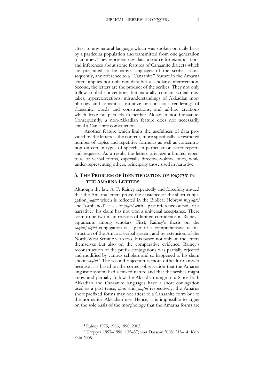attest to any natural language which was spoken on daily basis by a particular population and transmitted from one generation to another. They represent raw data, a source for extrapolations and inferences about some features of Canaanite dialects which are presumed to be native languages of the scribes. Consequently, any reference to a "Canaanite" feature in the Amarna letters implies not only raw data but a scholarly interpretation. Second, the letters are the product of the scribes. They not only follow scribal conventions but naturally contain scribal mistakes, hypercorrections, misunderstandings of Akkadian morphology and semantics, intuitive or conscious renderings of Canaanite words and constructions, and ad-hoc creations which have no parallels in neither Akkadian nor Canaanite. Consequently, a non-Akkadian feature does not necessarily entail a Canaanite construction.

Another feature which limits the usefulness of data provided by the letters is the content, more specifically, a restricted number of topics and repetitive formulas as well as concentration on certain types of speech, in particular on short reports and requests. As a result, the letters privilege a limited repertoire of verbal forms, especially directive-volitive ones, while under-representing others, principally those used in narrative.

#### **3. THE PROBLEM OF IDENTIFICATION OF** YAQTUL **IN THE AMARNA LETTERS**

Although the late A. F. Rainey repeatedly and forcefully argued that the Amarna letters prove the existence of the short conjugation *yaqtul* which is reflected in the Biblical Hebrew *wayyiqtol* and "orphaned" cases of *yiqtol* with a past reference outside of a narrative,[4](#page-3-0) his claim has not won a universal acceptance. There seem to be two main reasons of limited confidence in Rainey's arguments among scholars. First, Rainey's thesis on the *yaqtul*/*yiqtol* conjugation is a part of a comprehensive reconstruction of the Amarna verbal system, and by extension, of the North-West Semitic verb too. It is based not only on the letters themselves but also on the comparative evidence. Rainey's reconstruction of the prefix conjugations was partially rejected and modified by various scholars and so happened to his claim about *yaqtul*.[5](#page-3-1) The second objection is more difficult to answer because it is based on the correct observation that the Amarna linguistic system had a mixed nature and that the scribes might know and partially follow the Akkadian usage too. Since both Akkadian and Canaanite languages have a short conjugation used as a past tense, *iprus* and *yaqtul* respectively, the Amarna short prefixed forms may not attest to a Canaanite form but to the normative Akkadian use. Hence, it is impossible to argue on the sole basis of the morphology that the Amarna forms are

<sup>4</sup> Rainey 1975, 1986, 1990, 2003.

<span id="page-3-1"></span><span id="page-3-0"></span><sup>5</sup> Tropper 1997–1998: 135–37; von Dassow 2003: 213–14; Korchin 2008.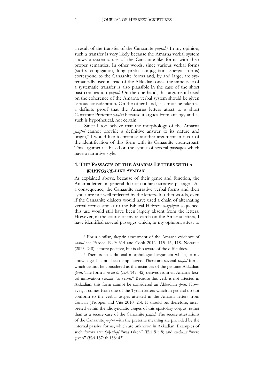a result of the transfer of the Canaanite *yaqtul*.[6](#page-4-0) In my opinion, such a transfer is very likely because the Amarna verbal system shows a systemic use of the Canaanite-like forms with their proper semantics. In other words, since various verbal forms (suffix conjugation, long prefix conjugation, energic forms) correspond to the Canaanite forms and, by and large, are systematically used instead of the Akkadian ones, the same case of a systematic transfer is also plausible in the case of the short past conjugation *yaqtul*. On the one hand, this argument based on the coherence of the Amarna verbal system should be given serious consideration. On the other hand, it cannot be taken as a definite proof that the Amarna letters attest to a short Canaanite Preterite *yaqtul* because it argues from analogy and as such is hypothetical, not certain.

Since I too believe that the morphology of the Amarna *yaqtul* cannot provide a definitive answer to its nature and origin,[7](#page-4-1) I would like to propose another argument in favor of the identification of this form with its Canaanite counterpart. This argument is based on the syntax of several passages which have a narrative style.

#### **4. THE PASSAGES OF THE AMARNA LETTERS WITH A**  WAYYIQTOL**-LIKE SYNTAX**

As explained above, because of their genre and function, the Amarna letters in general do not contain narrative passages. As a consequence, the Canaanite narrative verbal forms and their syntax are not well reflected by the letters. In other words, even if the Canaanite dialects would have used a chain of alternating verbal forms similar to the Biblical Hebrew *wayyiqtol* sequence, this use would still have been largely absent from the letters. However, in the course of my research on the Amarna letters, I have identified several passages which, in my opinion, attest to

<span id="page-4-0"></span><sup>6</sup> For a similar, skeptic assessment of the Amarna evidence of *yaqtul* see Pardee 1999: 314 and Cook 2012: 115–16, 118. Notarius (2015: 248) is more positive, but is also aware of the difficulties.

<span id="page-4-1"></span><sup>7</sup> There is an additional morphological argument which, to my knowledge, has not been emphasized. There are several *yaqtul* forms which cannot be considered as the instances of the genuine Akkadian *iprus*. The form *ú-ra-ad-šu* (*EA* 147: 42) derives from an Amarna lexical innovation *warādu* "to serve." Because this verb is not attested in Akkadian, this form cannot be considered an Akkadian *iprus.* However, it comes from one of the Tyrian letters which in general do not conform to the verbal usages attested in the Amarna letters from Canaan (Tropper and Vita 2010: 23). It should be, therefore, interpreted within the idiosyncratic usages of this epistolary corpus, rather than as a secure case of the Canaanite *yaqtul*. The secure attestations of the Canaanite *yaqtul* with the preterite meaning are provided by the internal passive forms, which are unknown in Akkadian. Examples of such forms are: *t*[*u*]-*ul*-*qé* "was taken" (*EA* 91: 8) and *tu-da-nu* "were given" (*EA* 137: 6; 138: 43).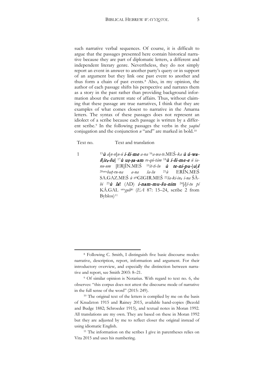such narrative verbal sequences. Of course, it is difficult to argue that the passages presented here contain historical narrative because they are part of diplomatic letters, a different and independent literary genre. Nevertheless, they do not simply report an event in answer to another party's query or in support of an argument but they link one past event to another and thus form a chain of past events.[8](#page-5-0) Also, in my opinion, the author of each passage shifts his perspective and narrates them as a story in the past rather than providing background information about the current state of affairs. Thus, without claiming that these passage are true narratives, I think that they are examples of what comes closest to narrative in the Amarna letters. The syntax of these passages does not represent an idiolect of a scribe because each passage is written by a different scribe.[9](#page-5-1) In the following passages the verbs in the *yaqtul* conjugation and the conjunction *u* "and" are marked in bold.[10](#page-5-2)

Text no. Text and translation

 $\overline{\phantom{a}}$ 

1 <sup>15</sup><sup>ù</sup> *a*[*n-n*]*u-ú* i-ši-me *a-na* 16*a-wa-te*.MEŠ-*ka* <sup>ù</sup> ú-wa<sup>š</sup>[ir4-šu] 17<sup>ù</sup> <sup>u</sup>ṣ-ṣa-am *re-qú-tám* <sup>18</sup><sup>ù</sup> i-ši-me-e *ú ia* $nu\text{-}um$  [ER]IN.MES<sup>19</sup>it-ti-šu **ù te-ni-pu-[u]š** 20uru*ba*ṭ*-ru-na a-na ša-šu* 21*ù* ERÍN.MEŠ SA.GAZ.MEŠ *ù* gišGIGIR.MEŠ 22*ša-ki-in4 i-na* ŠÀ*bi* <sup>23</sup><sup>ù</sup> la**!** (AD) i-nam-mu-šu-nim 24[*i*]*š-tu pí*  KÁ.GAL uru*gub*ki (*EA* 87: 15–24, scribe 2 from  $Bvblos$ <sup>[11](#page-5-3)</sup>

<span id="page-5-0"></span><sup>8</sup> Following C. Smith, I distinguish five basic discourse modes: narrative, description, report, information and argument. For their introductory overview, and especially the distinction between narrative and report, see Smith 2003: 8–21.

<span id="page-5-1"></span><sup>9</sup> Of similar opinion is Notarius. With regard to text no. 6, she observes: "this corpus does not attest the discourse mode of narrative in the full sense of the word" (2015: 249).

<span id="page-5-2"></span><sup>&</sup>lt;sup>10</sup> The original text of the letters is complied by me on the basis of Knudzton 1915 and Rainey 2015, available hand-copies (Bezold and Budge 1882; Schroeder 1915), and textual notes in Moran 1992. All translations are my own. They are based on these in Moran 1992 but they are adjusted by me to reflect closer the original instead of using idiomatic English.

<span id="page-5-3"></span><sup>&</sup>lt;sup>11</sup> The information on the scribes I give in parentheses relies on Vita 2015 and uses his numbering.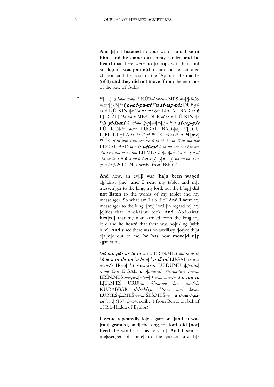**And** [s]o **I listened** to your words **and I se[nt him] and he came out** empty-handed **and he heard** that there were no [tr]oops with him **and so** Baṭruna **was join[e]d** to him and he stationed chariots and the hosts of the ʿApiru in the middle (of it) **and they did not move** [f]rom the entrance of the gate of Gubla.

2 10[. . .] <sup>ù</sup> *i-na-an-na* <sup>11</sup> KÚR-*kùr-tum*.MEŠ *ma*[*š*]*-ši-iktum i*[*t*]*-ti-*[*ia* i]n4-né-pu-uš <sup>12</sup><sup>ù</sup> aš-tap-pár DUB*-píia ù* L[Ú KIN*-i*]*a* <sup>13</sup>*a-na ma-*ḫ*ar* LUGAL BAD*-ia* <sup>ù</sup> L[UGAL] 14*a-wa-te*.MEŠ DUB*-pí-ia ù* L[Ú KIN*-i*]*a* <sup>15</sup>la yi-ši-mi *ù mi-na ip-p*[*u-š*]*u-*[*n*]*a* <sup>16</sup><sup>ù</sup> aš-tap-pár LÚ KIN*-ia a-na* LUGAL BAD*-*[*ia*] 17[UGU U]RU.KI.ḪI.A*-ia ša ìl-qé* 18mÌR-d*aš-ra-ti* <sup>ù</sup> iš*-*[mé] 19mÌR*-aš-ra-tum i-nu-ma ka-ši-id* 20LÚ*-ia iš-tu ma-*ḫ*ar*  LUGAL BAD*-ia* <sup>21</sup><sup>ù</sup> i-ši-mé *ù ia-nu-um m*[*i-i*]*m-ma* <sup>22</sup>*ù i-nu-ma ia-nu-um* LÚ.MEŠ *ti-l*[*a-t*]*am š*[*a a*]*-*[ṣ]*a-at*  <sup>23</sup>*a-na ia-a-ši* <sup>ù</sup> *a-nu-ú* i-ti-e**[**l**]***-*[l]<sup>a</sup> 24[*i*]*-na-an-na a-na*  <sup>ṣ</sup>*e-ri-ia* (92: 10–24, a scribe from Byblos)

> **And** now, an ev[i]l war [**ha]s been waged** a[g]ainst [me] **and I sent** my tablet and m[y messen]ger to the king, my lord, but the k[ing] **did not listen** to the words of my tablet and my messenger. So what am I t[o d]o? **And I sent** my messenger to the king, [my] lord [in regard to] my [c]ities that ʿAbdi-ašrati took. **And** ʿAbdi-ašrati **hea[rd]** that my man arrived from the king my lord and **he heard** that there was no[th]ing (with him). **And** since there was no auxiliary f[or]ce th[at c]a[m]e out to me, **he has** now **move[d u]p** against me.

3 <sup>5</sup>aš-tap-pár aš-ta-ni *a-n*[*a* ERÍN.MEŠ *ma-*ṣ*a-ar-ti*] <sup>6</sup>ù la-a tu-da-nu [<sup>ù</sup> la-a] 7yi-iš-mi LUGAL *be-li-ia a-wa-t*[*e* ÌR*-šu*] 8<sup>ù</sup> i-wa-ši-ir LÚ.DUMU *š*[*ìp-ri-ia*] <sup>9</sup>*a-na* É*-ti* É.GAL ù i[*a-tur-ur*] 10*ri-qú-tam i-ia-nu*  ERÍN.MEŠ *ma-*ṣ*a-a*[*r-tam*] 11*a-na ša-a-šu* <sup>ù</sup> ti-mu-ru L[Ú].M[EŠ URU]*-ia* <sup>12</sup>*i-nu-ma la-a na-di-in*  KÙ.BABBAR ti-iš-la**\**<sup>u</sup>**<sup>5</sup>** <sup>13</sup>*a-na ia-ši ki-ma*  LÚ.MEŠ*-*ḫ*a*.MEŠ*-za-ni* ŠEŠ.MEŠ*-ia* <sup>14</sup><sup>ù</sup> ti-na-i-ṣú $ni$  [...] (137: 5–14, scribe 1 from Beirut on behalf of Rib-Hadda of Byblos)

> **I wrote repeatedly** fo[r a garrison] [**and**] **it was**  [**not**] **granted**, [and] the king, my lord, **did [not] heed** the word[s of his servant]. **And I sent** a me[ssenger of mine] to the palace **and h**[e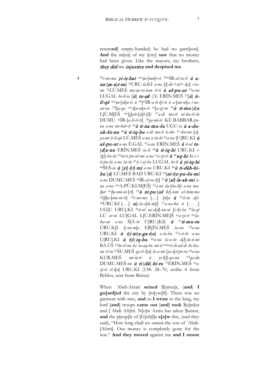return**ed**] empty-handed; he had no garri[son]. **And** the m[en] of my [city] **saw** that no money had been given. Like the mayors, my brothers, they did me injustice **and despised me**.

4 <sup>28</sup>*i-nu-ma* yi-iṣ-bat uruṣ*u-*[*mu*]*r-ri* 29mÌR*-aš-ra-ti* <sup>ù</sup> ana*-*[<sup>ṣ</sup>a-a]r-mi 30URU*-la.*KI *a-na* [*i*]*-di-*<*ni*>*-i*[*a*] *i-ianu* 31LÚ.MEŠ *ma-*ṣ*a-ra-tam it-ti* <sup>ù</sup> aš-pu-ur <sup>32</sup>*a-na*  LUGAL *be-li-ia*  $\vec{u}$  tu-șa! (A) ERÍN.MES<sup>33</sup> $\vec{u}$  tiìl-qé uruṣ*u-*[*m*]*u-ri ù* 34[mÌR*-a-ši-i*]*r-ti ù a-*[*nu-m*]*a i-naan-na* 35l[*a-qa* uruṣ]*u-m*[*u-ri* m]*a-zi-ru* <sup>36</sup><sup>ù</sup> ti-mu*-*[r]<sup>u</sup> L[Ú.M]EŠ uru[*g*]*ub-*[*u*]*b-*[*l*]*i* <sup>37</sup>*a-di ma-ti ni-ka-ši-šu*  DUMU mÌR-[*a-ši-ir-ti*] 38*ga-mi-ir* KÙ.BABBAR*-puna a-na nu-kúr-ti* <sup>39</sup><sup>ù</sup> ti-na-mu-šu UGU*-ia* <sup>ù</sup> a-duuk-šu-nu <sup>40</sup><sup>ù</sup> ti-iq-bu *a-di ma-ti te-du-* <sup>41</sup>*-ku-nu* [*a*] *ya-mi ti-ìl-qú* LÚ.MEŠ *a-na a-ša-bi* 42*a-na* [U]RU.KI <sup>ù</sup> aš-pu-ur *a-na* É.GAL 43*a-na* ERÍN.MEŠ <sup>ù</sup> *ú-ul* tu*-* [d]a-nu ERÍN.MEŠ *ia-ši* <sup>44</sup><sup>ù</sup> ti-iq-bi URU.KI *iz*[*i*]*-bu-šu* 45*ni-te-pu-uš-mi a-na* m*a-zi-ri* <sup>ù</sup> <sup>46</sup>aq-bi *ki-i iti-pu-šu a-na ša-šu* 47*ù i-zi-bu* LUGAL *be-li* <sup>ù</sup> yi-iq-bi 48ŠEŠ*-ia* <sup>ù</sup> [yi]*-*i[t]*-*mi *a-na* URU.KI 49<sup>ù</sup> ti-dáb-bi $bu$  [ $\dot{u}$ ] LÚ.MEŠ BAD URU.KI <sup>50</sup>[ $ni$ -t]e-pu-šu-mi *a-na* DUMU.MEŠ mÌR*-aš-ra-t*[*i*] <sup>51</sup><sup>ù</sup> [al]*-*la-ak-mi *ana a-na* uruA.PÚ.KI.M[EŠ] <sup>52</sup>*a-na da-*[*ba-b*]*i a-na ma*ḫ*ar* <sup>m</sup>ḫ*a-mu-ni-*[*ri*] 53<sup>ù</sup> ni*-*pu*-*[uš *ki*]*-tam aš-šum-ma* m[ḫ]*a-*[*mu-ni-ri*] 54*i-nu-ma* […] *-*[*n*]*u* <sup>ù</sup> <sup>55</sup>*iš-tu a*[*š-* 56URU.KI [. . .] n[*i-la-a*]*k-m*[*i*] 57*a-na-ku ù* [. . .] UG[U URU].KI 58*ú-ul na-a*[*d*]*-nu-ni* [*i-r*]*i-ba* 59*la-qí*  LÚ *ar-ni* LU[GAL L[Ú.ERÍN.ME]Š m*a-zi-ri* 60*ša* $ka$ -an a-na  $\widetilde{S}[\hat{A}-bi]$  U]RU.[KI]  $\hat{u}$  <sup>61</sup>ti-mu-ru URU.K[I *i*]*-nu-m*[*a* ER]ÍN.MEŠ *ša-nu* 62*a-na*  URU.KI <sup>ù</sup> <sup>t</sup>[i-m]a-ga*-*r[u] *a-ša-bu* 63*i-ri-bi a-na*  U[RU].KI <sup>ù</sup> <sup>t</sup>[i]*-*iq-bu <sup>64</sup>*a-na ša-a-šu a*[*l*]*-lu-ú-mi*  BA.ÚŠ 65*be-èl-nu ki ta-aq-bu mi-it* 66m*ri-ib-ad-di ki-kanu iš-tu* 67ŠU.MEŠ *qa-ti-š*[*u*] *la-a-mi* [*ia-a*]*š-pu-ra* 68*a-na*  KUR.MEŠ *mi-i*ṣ*-ri ù yi-ì*[*l*]*-qa-nu* 69*qa-du*  DUMU.MEŠ*-nu* <sup>ù</sup> ti*-*[dá]-bi-ru 70ERÍN.MEŠ m*azi-ri iš-t*[*u*] URU.KI (138: 28–70, scribe 4 from Byblos, sent from Beirut)

> When ʿAbdi-Ašrati **seized** Ṣ[umu]r, (**and**) **I gu[ard]ed** the city by [m]yse[lf]. There was no garrison with ‹me›, **and** so **I wrote** to the king, my lord [**and**] troops **came out** [**and**] **took** Ṣu[m]ur and [ʿAbdi Aši]rti. N[o]w Aziru has taken Ṣumur, **and** the p[eop]le of [G]ub[l]a **s[a]w** this, (and they said), "How long shall we *contain* the son of ʿAbdi- [Aširti]. Our money is completely gone for the war." **And they moved** against me **and I smote**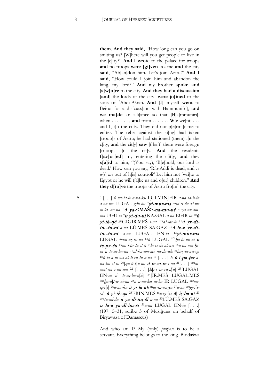**them**. **And they said**, "How long can you go on smiting us? [W]here will you get people to live in the [c]ity?" **And I wrote** to the palace for troops **and** no troops **were [gi]ven** ‹to› me **and** the city **said**, "Ab[an]don him. Let's join Aziru!" **And I said**, "How could I join him and abandon the king, my lord?" **And** my brother **spoke and** [**s]w[o]re** to the city. **And they had a discussion** [**and**] the lords of the city [**were jo]ined** to the sons of ʿAbdi-Ašrati. **And** [**I]** myself **went** to Beirut for a dis[cuss]ion with Ḫammuni[ri], **and we ma[de** an alli]ance so that [Ḫ]a[mmuniri], when  $\dots$   $\dots$ , and from  $\dots$   $\dots$   $W$ [e we]nt,  $\dots$ and I, t[o the ci]ty. They did not p[e]rmi[t me to en]ter. The rebel against the ki[ng] had taken [troop]s of Aziru; he had stationed (them) i[n the c]ity, **and** the cit[y] **saw** [t]ha[t] there were foreign [tr]oops i[n the cit[y. **And** the residents **f[av]or[ed]** my entering the c[it]y, **and** they **s[a]id** to him, "(You say), 'B[e]hold, our lord is dead.' How can you say, 'Rib-Addi is dead, and *so w*[*e*] *are* out of h[is] control?' Let him not [wri]te to Egypt or he will t[a]ke us and o[ur] children." **And they d[ro]ve** the troops of Aziru fro[m] the city.

5 <sup>5</sup> [. . .] *ù me-ia-te a-na-ku* I[GI.MIN] 6ÌR *a-na ia-ši-ia a-na-me* LUGAL *gáb-bu* <sup>7</sup>yi-mur-ma <sup>m</sup>*bi-ri-da-aš-wa ip-ša an-na* <sup>8</sup><sup>ù</sup> ya-**<MAŠ>**-na-mu-uš uru*ya-nu-amma* UGU*-ia* <sup>9</sup><sup>u</sup> yi-du-ul KÁ.GAL *a-na* EGIR*-ia* <sup>10</sup><sup>ù</sup> yi-il**5**-qé gišGIGIR.MEŠ *i-na* uru*aš-tar-te* <sup>11</sup><sup>ù</sup> ya-diin**4**-šu-ni *a-na* LÚ.MEŠ SA.GAZ 12<sup>ù</sup> la-a ya-diin**4**-šu-ni *a-na* LUGAL EN*-ia* <sup>13</sup>yi-mur-ma LUGAL uru*bu-u*ṣ*-ru-na* 14*ù* LUGAL uruḫ*a-lu-un-ni* <sup>u</sup> te-pa-šu <sup>15</sup>*nu-kúr-ta it-ti* m*bi-ri-da-aš-wa* 16*a-na mu-*ḫ*iia u te-eq-bu-na* 17*al-ka-am-mi nu-du-uk* <sup>m</sup>*bir*5*-ia-wa-za*  <sup>18</sup>*ù la-a ni-wa-aš-ši-ru-šu a-na* <sup>19</sup> [. . . ]*-še* <sup>ù</sup> i-pa-ṭar *ana-ku iš-tu* 20[*qa-ti-š*]*u-nu* <sup>ù</sup> iz-zi-iz *i-na* 21[. . .] uru*dimaš-qa i-nu-ma* <sup>22</sup> [. . .] [*k*]*i-i ur-ru-d*[*u*] 23[LUGAL EN*-ia ù*] *te-eq-bu-n*[*a*] 24[ÌR.MEŠ LUGAL.MEŠ kurḫ*a-a*]*t-te ni-nu* 25*ù a-na-ku iq-bu* ÌR LUGAL kur*mii*ṣ*-r*[*i*] 26*a-na-ku* <sup>ù</sup> yi-la-ak <sup>m</sup>*ar-sà-wu-ya* 27*a-na* uru*gi-i*[*ssà*] <sup>ù</sup> yi-il**5**-qa 28ERÍN.MEŠ m*a-zi-*[*ri* ù] <sup>i</sup>ṣ-ba-at <sup>29</sup> uru*ša-ad-du* <sup>u</sup> ya-di-in**4**-ši *a-na* 30LÚ.MEŠ SA.GAZ <sup>u</sup> la-a ya-di-in**4**-ši <sup>31</sup>*a-na* LUGAL EN*-ia* [. . .] (197: 5–31, scribe 3 of Mušiḫuna on behalf of Biryawaza of Damascus)

> And who am I? My (only) *purpose* is to be a servant. Everything belongs to the king. Biridašwa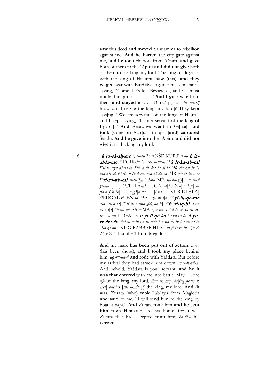**saw** this deed **and moved** Yanuamma to rebellion against me. **And he barred** the city gate against me, **and he took** chariots from Aštartu **and gave** both of them to the ʿApiru **and did not give** both of them to the king, my lord. The king of Buṣruna with the king of Halunnu **saw** (this), and they **waged** war with Biridašwa against me, constantly saying, "Come, let's kill Biryawaza, and we must not let him go to . . . . . . " **And I got away** from them **and stayed** in . . . Dimašqa, for [*by myself* h]ow can I serv[e the king, my lord]? They kept sayi[ng, "We are servants of the king of Haltti," and I kept saying, "I am a servant of the king of Egyp[t]." **And** Arsawuya **went** to Gi[ssa], **and took** (some of) Azir[u's] troops, [**and**] **captured** Šaddu. **And he gave it** to the ʿApiru **and did not give it** to the king, my lord.

6 8 $\dot{u}$  tu-sà-ah-me \ tu-ra<sup>9mí</sup>ANŠE.KUR.RA-ia  $\dot{u}$  izzi-iz-me 10EGIR*-šu* \ *a*ḫ*-ru-un-ú* <sup>11</sup>ù ir-ka-ab-mi <sup>12</sup>*it-ti* m*ya-aš-da-ta* <sup>13</sup>*ù a-di ka-ša-di-ia* 14*ù da-ku-šu* \ *ma-a*ḫ*-*ṣ*ú-ú* <sup>15</sup>*ù al-lu-ú-me mya-aš-da-ta* 16ÌR*-ka* <sup>ù</sup> *šu-ú-te*  <sup>17</sup>yi-ru-ub-mi *it-ti-*[*i*]*a* <sup>18</sup>*i-na* MÈ *ta-*ḫ*a-z*[*i*] 19*ù lu-ú yi-na-* [. . .] 20TIL.LA*-a*ṭ LUGAL*-r*[*i* EN*-i*]*a* 21[*ù*] *lipa-a*[*š-ši-i*ḫ] 22[*gá*]*b-ba* [*i-na* KUR.KI.ḪI.A] 23LUGAL*-ri* EN*-ia* <sup>24</sup><sup>ù</sup> <sup>m</sup>*zu-ra-t*[*a*] <sup>25</sup>yi-il**5**-qé-me *mla-*[*ab-a-ia*] 26*iš-tu uruma-gid*6*-da*[*ki*] <sup>27</sup>ù yi-iq-bi *a-na ia-a-š*[*i*] 28*i-na-me* ŠÀ gišMÁ \ *a-na-yi* 29*ú-ta-aš-ša-ru-uššu* 30*a-na* LUGAL*-ri* ù yi-ìl-qé-šu <sup>31</sup>*mzu-ra-ta* ù yuta-šar-šu <sup>32</sup>*iš-tu uru*ḫ*i-na-tu-naki* <sup>33</sup>*a-na* É*-šu ù mzu-ra-ta*  <sup>34</sup>*la-qí-mi* KUG.BABBAR.ḪI.A *ip-*ṭ*ì-ir-ri-šu* (*EA* 245: 8–34, scribe 1 from Megiddo)

> **And** my mare **has been put out of action**: *tu-ra* (has been shoot), **and I took my place** behind him: *aḫ-ru-un-ú* **and rode** with Yašdata. But before my arrival they had struck him down: *ma-aḫ-ṣú-ú*. And behold, Yašdata is your servant, **and he it was that entered** with me into battle. May . . . the *life* of the king, my lord, *that he may br*[*ing peace to ever*]*yone* in [*the lands of*] the king, my lord. **And** (it was) Zurata (who) **took** Labʾayu from Magidda **and said** to me, "I will send him to the king by boat: *a-na-yi*." **And** Zurata **took** him **and he sent**  him from Hinnatunu to his home, for it was Zurata that had accepted from him: *ba-di-ú* his ransom.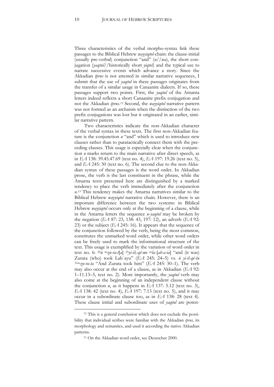Three characteristics of the verbal morpho-syntax link these passages to the Biblical Hebrew *wayyiqtol*-chain: the clause-initial (usually pre-verbal) conjunction "and" (*u*//*wa*), the short conjugation (*yaqtul*//historically short *yiqtol*) and the typical use to narrate successive events which advance a story. Since the Akkadian *iprus* is not attested in similar narrative sequences, I submit that the use of *yaqtul* in these passages originates from the transfer of a similar usage in Canaanite dialects. If so, these passages support two points. First, the *yaqtul* of the Amarna letters indeed reflects a short Canaanite prefix conjugation and not the Akkadian *iprus*.[12](#page-10-0) Second, the *wayyiqtol* narrative pattern was not formed as an archaism when the distinction of the two prefix conjugations was lost but it originated in an earlier, similar narrative pattern.

Two characteristics indicate the non-Akkadian character of the verbal syntax in these texts. The first non-Akkadian feature is the conjunction *u* "and" which is used to introduce new clauses rather than to paratactically connect them with the preceding clauses. This usage is especially clear when the conjunction *u* marks return to the main narrative after direct speech, as in *EA* 138: 39.45.47.69 (text no. 4), *EA* 197: 19.26 (text no. 5), and *EA* 245: 30 (text no. 6). The second clue to the non-Akkadian syntax of these passages is the word order. In Akkadian prose, the verb is the last constituent in the phrase, while the Amarna texts presented here are distinguished by a marked tendency to place the verb immediately after the conjunction *u*.[13](#page-10-1) This tendency makes the Amarna narratives similar to the Biblical Hebrew *wayyiqtol* narrative chain. However, there is an important difference between the two systems: in Biblical Hebrew *wayyiqtol* occurs only at the beginning of a clause, while in the Amarna letters the sequence *u*-*yaqtul* may be broken by the negation (*EA* 87: 23, 138: 43, 197: 12), an adverb (*EA* 92: 23) or the subject (*EA* 245: 16). It appears that the sequence of the conjunction followed by the verb, being the most common, constitutes the unmarked word order, while other word orders can be freely used to mark the informational structure of the text. This usage is exemplified by the variation of word order in text no. 6: 24*ù* <sup>m</sup>*zu-ra-t*[*a*] <sup>25</sup>*yi-il*5*-qé-me* <sup>m</sup>*la*-[*ab-a-ia*] "and (it was) Zurata (who) took Labʾayu" (*EA* 245: 24–5) vs. *ù yi-ìl-qé-šu* 31m*zu-ra-ta* "And Zurata took him" (*EA* 245: 30–1). The verb may also occur at the end of a clause, as in Akkadian (*EA* 92: 1–11.13–5, text no. 2). More importantly, the *yaqtul* verb may also come at the beginning of an independent clause without the conjunction  $u$ , as it happens in *EA* 137: 5.12 (text no. 3), *EA* 138: 42 (text no. 4), *EA* 197: 7.13 (text no. 5), and it may occur in a subordinate clause too, as in *EA* 138: 28 (text 4). These clause initial and subordinate uses of *yaqtul* are poten-

<span id="page-10-1"></span><span id="page-10-0"></span><sup>12</sup> This is a general conclusion which does not exclude the possibility that individual scribes were familiar with the Akkadian *iprus*, its morphology and semantics, and used it according the native Akkadian patterns.

<sup>13</sup> On the Akkadian word order, see Deutscher 2000.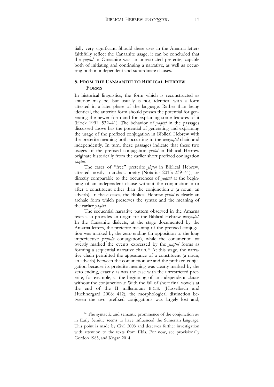tially very significant. Should these uses in the Amarna letters faithfully reflect the Canaanite usage, it can be concluded that the *yaqtul* in Canaanite was an unrestricted preterite, capable both of initiating and continuing a narrative, as well as occurring both in independent and subordinate clauses.

#### **5. FROM THE CANAANITE TO BIBLICAL HEBREW FORMS**

In historical linguistics, the form which is reconstructed as anterior may be, but usually is not, identical with a form attested in a later phase of the language. Rather than being identical, the anterior form should posses the potential for generating the newer form and for explaining some features of it (Hock 1991: 532–41). The behavior of *yaqtul* in the passages discussed above has the potential of generating and explaining the usage of the prefixed conjugation in Biblical Hebrew with the preterite meaning both occurring in the *wayyiqtol* chain and independently. In turn, these passages indicate that these two usages of the prefixed conjugation *yiqtol* in Biblical Hebrew originate historically from the earlier short prefixed conjugation *yaqtul*.

The cases of "free" preterite *yiqtol* in Biblical Hebrew, attested mostly in archaic poetry (Notarius 2015: 239–41), are directly comparable to the occurrences of *yaqtul* at the beginning of an independent clause without the conjunction *u* or after a constituent other than the conjunction *u* (a noun, an adverb). In these cases, the Biblical Hebrew *yiqtol* is clearly an archaic form which preserves the syntax and the meaning of the earlier *yaqtul*.

The sequential narrative pattern observed in the Amarna texts also provides an origin for the Biblical Hebrew *wayyiqtol*. In the Canaanite dialects, at the stage documented by the Amarna letters, the preterite meaning of the prefixed conjugation was marked by the zero ending (in opposition to the long imperfective *yaqtulu* conjugation), while the conjunction *wa* overtly marked the events expressed by the *yaqtul* forms as forming a sequential narrative chain.[14](#page-11-0) At this stage, the narrative chain permitted the appearance of a constituent (a noun, an adverb) between the conjunction *wa* and the prefixed conjugation because its preterite meaning was clearly marked by the zero ending, exactly as was the case with the unrestricted preterite, for example, at the beginning of an independent clause without the conjunction *u*. With the fall of short final vowels at the end of the II millennium B.C.E. (Hasselbach and Huehnergard 2008: 412), the morphological distinction between the two prefixed conjugations was largely lost and,

<span id="page-11-0"></span><sup>14</sup> The syntactic and semantic prominence of the conjunction *wa* in Early Semitic seems to have influenced the Sumerian language. This point is made by Civil 2008 and deserves further investigation with attention to the texts from Ebla. For now, see provisionally Gordon 1983, and Kogan 2014.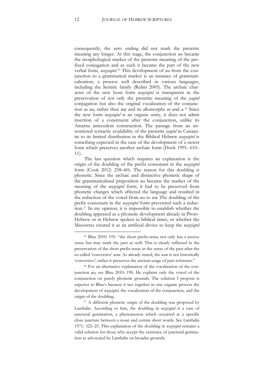consequently, the zero ending did not mark the preterite meaning any longer. At this stage, the conjunction *wa* became the morphological marker of the preterite meaning of the prefixed conjugation and as such it became the part of the new verbal form, *wayyiqtol*.[15](#page-12-0) This development of *wa* from the conjunction to a grammatical marker is an instance of grammaticalization, a process well described in various languages, including the Semitic family (Rubin 2005). The archaic character of the new born form *wayyiqtol* is transparent in the preservation of not only the preterite meaning of the *yaqtul* conjugation but also the original vocalization of the conjunction as *wa*, rather then *w*ə, and its allomorphs *wi* and *u*.[16](#page-12-1) Since the new form *wayyiqtol* is an organic unity, it does not admit insertion of a constituent after the conjunction, unlike its Amarna antecedent construction. The passage from an unrestricted syntactic availability of the preterite *yaqtul* in Canaanite to its limited distribution in the Biblical Hebrew *wayyiqtol* is something expected in the case of the development of a newer form which preserves another archaic form (Hock 1991: 610– 11).

The last question which requires an explanation is the origin of the doubling of the prefix consonant in the *wayyiqtol* form (Cook 2012: 258–60). The reason for this doubling is phonetic. Since the archaic and distinctive phonetic shape of the grammaticalized preposition *wa* became the marker of the meaning of the *wayyiqtol* form, it had to be preserved from phonetic changes which affected the language and resulted in the reduction of the vowel from *wa* to *w*ə. The doubling of the prefix consonant in the *wayyiqtol* form prevented such a reduction.[17](#page-12-2) In my opinion, it is impossible to establish whether the doubling appeared as a phonetic development already in Proto-Hebrew or in Hebrew spoken in biblical times, or whether the Masoretes created it as an artificial device to keep the *wayyiqtol*

<span id="page-12-1"></span><sup>16</sup> For an alternative explanation of the vocalization of the conjunction *wa*, see Blau 2010: 190. He explains only the vowel of the conjunction on purely phonetic grounds. The solution I propose is superior to Blau's because it ties together in one organic process the development of *wayyiqtol*, the vocalization of the conjunction, and the origin of the doubling.

<span id="page-12-2"></span><sup>17</sup> A different phonetic origin of the doubling was proposed by Lambdin. According to him, the doubling in *wayyiqtol* is a case of junctural gemination, a phenomenon which occurred at a specific close juncture between a noun and certain short words. See Lambdin 1971: 322–25. This explanation of the doubling in *wayyiqtol* remains a valid solution for those who accept the existence of junctural gemination as advocated by Lambdin on broader grounds.

<span id="page-12-0"></span><sup>15</sup> Blau 2010: 195: "the short prefix-tense not only has a jussive sense but may mark the past as well. This is clearly reflected in the preservation of the short prefix-tense in the sense of the past after the so-called 'conversive' *waw*. As already stated, the *waw* is not historically 'conversive'; rather it preserves the ancient usage of past reference."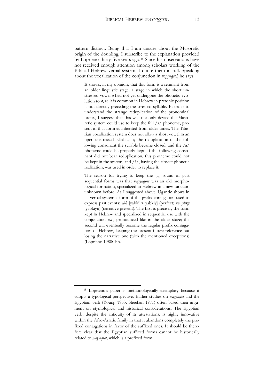pattern distinct. Being that I am unsure about the Masoretic origin of the doubling, I subscribe to the explanation provided by Loprieno thirty-five years ago.[18](#page-13-0) Since his observations have not received enough attention among scholars working of the Biblical Hebrew verbal system, I quote them in full. Speaking about the vocalization of the conjunction in *wayyiqtol*, he says:

It shows, in my opinion, that this form is a remnant from an older linguistic stage, a stage in which the short unstressed vowel *a* had not yet undergone the phonetic evolution to ə, as it is common in Hebrew in pretonic position if not directly preceding the stressed syllable. In order to understand the strange reduplication of the pronominal prefix, I suggest that this was the only device the Masoretic system could use to keep the full /a/ phoneme, present in that form as inherited from older times. The Tiberian vocalization system does not allow a short vowel in an open unstressed syllable; by the reduplication of the following consonant the syllable became closed, and the /a/ phoneme could be properly kept. If the following consonant did not bear reduplication, this phoneme could not be kept in the system, and  $/\bar{a}/$ , having the closest phonetic realization, was used in order to replace it.

The reason for trying to keep the [a] sound in past sequential forms was that *wayyaqom* was an old morphological formation, specialized in Hebrew in a new function unknown before. As I suggested above, Ugaritic shows in its verbal system a form of the prefix conjugation used to express past events: *ybk* [yabkī < yabkiy] (perfect) vs. *ybky* [yabkiyu] (narrative present). The first is precisely the form kept in Hebrew and specialized in sequential use with the conjunction *wa*-, pronounced like in the older stage; the second will eventually become the regular prefix conjugation of Hebrew, keeping the present-future reference but losing the narrative one (with the mentioned exceptions) (Loprieno 1980: 10).

<span id="page-13-0"></span><sup>18</sup> Loprieno's paper is methodologically exemplary because it adopts a typological perspective. Earlier studies on *wayyiqtol* and the Egyptian verb (Young 1953; Sheehan 1971) often based their argument on etymological and historical considerations. The Egyptian verb, despite the antiquity of its attestations, is highly innovative within the Afro-Asiatic family in that it abandons completely the prefixed conjugations in favor of the suffixed ones. It should be therefore clear that the Egyptian suffixed forms cannot be historically related to *wayyiqtol*, which is a prefixed form.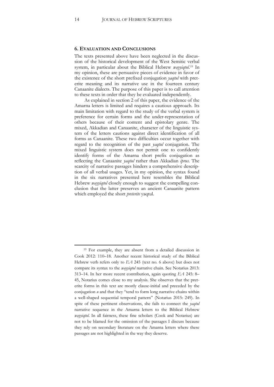#### **6. EVALUATION AND CONCLUSIONS**

The texts presented above have been neglected in the discussion of the historical development of the West Semitic verbal system, in particular about the Biblical Hebrew *wayyiqtol*.[19](#page-14-0) In my opinion, these are persuasive pieces of evidence in favor of the existence of the short prefixed conjugation *yaqtul* with preterite meaning and its narrative use in the fourteen century Canaanite dialects. The purpose of this paper is to call attention to these texts in order that they be evaluated independently.

As explained in section 2 of this paper, the evidence of the Amarna letters is limited and requires a cautious approach. Its main limitation with regard to the study of the verbal system is preference for certain forms and the under-representation of others because of their content and epistolary genre. The mixed, Akkadian and Canaanite, character of the linguistic system of the letters cautions against direct identification of all forms as Canaanite. These two difficulties occur together with regard to the recognition of the past *yaqtul* conjugation. The mixed linguistic system does not permit one to confidently identify forms of the Amarna short prefix conjugation as reflecting the Canaanite *yaqtul* rather than Akkadian *iprus*. The scarcity of narrative passages hinders a comprehensive description of all verbal usages. Yet, in my opinion, the syntax found in the six narratives presented here resembles the Biblical Hebrew *wayyiqtol* closely enough to suggest the compelling conclusion that the latter preserves an ancient Canaanite pattern which employed the short *preterite* yaqtul.

<span id="page-14-0"></span><sup>19</sup> For example, they are absent from a detailed discussion in Cook 2012: 110–18. Another recent historical study of the Biblical Hebrew verb refers only to *EA* 245 (text no. 6 above) but does not compare its syntax to the *wayyiqtol* narrative chain. See Notarius 2013: 313–14. In her more recent contribution, again quoting *EA* 245: 8– 45, Notarius comes close to my analysis. She observes that the preterite forms in this text are mostly clause-initial and preceded by the conjugation *u* and that they "tend to form long narrative chains within a well-shaped sequential temporal pattern" (Notarius 2015: 249). In spite of these pertinent observations, she fails to connect the *yaqtul* narrative sequence in the Amarna letters to the Biblical Hebrew *wayyiqtol*. In all fairness, these fine scholars (Cook and Notarius) are not to be blamed for the omission of the passages I discuss because they rely on secondary literature on the Amarna letters where these passages are not highlighted in the way they deserve.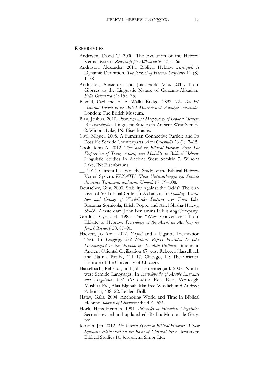#### **REFERENCES**

- Andersen, David T. 2000. The Evolution of the Hebrew Verbal System. *Zeitschrift für Althebraistik* 13: 1–66.
- Andrason, Alexander. 2011. Biblical Hebrew *wayyiqtol*: A Dynamic Definition. *The Journal of Hebrew Scriptures* 11 (8): 1–58.
- Andrason, Alexander and Juan-Pablo Vita. 2014. From Glosses to the Linguistic Nature of Canaano-Akkadian. *Folia Orientalia* 51: 155–75.
- Bezold, Carl and E. A. Wallis Budge. 1892. *The Tell El-Amarna Tablets in the British Museum with Autotype Facsimiles*. London: The British Museum.
- Blau, Joshua. 2010. *Phonology and Morphology of Biblical Hebrew: An Introduction*. Linguistic Studies in Ancient West Semitic 2. Winona Lake, IN: Eisenbrauns.
- Civil, Miguel. 2008. A Sumerian Connective Particle and Its Possible Semitic Counterparts. *Aula Orientalis* 26 (1): 7–15.
- Cook, John A. 2012. *Time and the Biblical Hebrew Verb: The Expression of Tense, Aspect, and Modality in Biblical Hebrew*. Linguistic Studies in Ancient West Semitic 7. Winona Lake, IN: Eisenbrauns.
- \_\_. 2014. Current Issues in the Study of the Biblical Hebrew Verbal System. *KUSATU: Kleine Untersuchungen zur Sprache des Alten Testaments und seiner Umwelt* 17: 79–108.
- Deutscher, Guy. 2000. Stability Against the Odds? The Survival of Verb Final Order in Akkadian. In *Stability, Variation and Change of Word-Order Patterns over Time*. Eds. Rosanna Sornicola, Erich Poppe and Ariel Shisha-Halevy, 55–69. Amsterdam: John Benjamins Publishing Company.
- Gordon, Cyrus H. 1983. The "Waw Conversive": From Eblaite to Hebrew. *Proceedings of the American Academy for Jewish Research* 50: 87–90.
- Hackett, Jo Ann. 2012. *Yaqtul* and a Ugaritic Incantation Text. In *Language and Nature: Papers Presented to John Huehnergard on the Occasion of His 60th Birthday*. Studies in Ancient Oriental Civilization 67, eds. Rebecca Hasselbach and Naʿma Pat-El, 111–17. Chicago, IL: The Oriental Institute of the University of Chicago.
- Hasselbach, Rebecca, and John Huehnergard. 2008. Northwest Semitic Languages. In *Encyclopedia of Arabic Language and Linguistics: Vol. III: Lat-Pu*. Eds. Kees Versteegh, Mushira Eid, Alaa Elgibali, Manfred Woidich and Andrzej Zaborski, 408–22. Leiden: Brill.
- Hatav, Galia. 2004. Anchoring World and Time in Biblical Hebrew. *Journal of Linguistics* 40: 491–526.
- Hock, Hans Henrich. 1991. *Principles of Historical Linguistics*. Second revised and updated ed. Berlin: Mouton de Gruyter.
- Joosten, Jan. 2012. *The Verbal System of Biblical Hebrew: A New Synthesis Elaborated on the Basis of Classical Prose*. Jerusalem Biblical Studies 10. Jerusalem: Simor Ltd.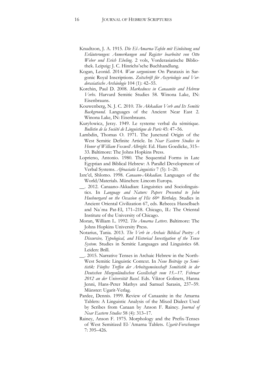- Knudtzon, J. A. 1915. *Die El-Amarna-Tafeln mit Einleitung und Erläuterungen: Anmerkungen und Register bearbeitet von Otto Weber und Erich Ebeling*. 2 vols, Vorderasiatische Bibliothek. Leipzig: J. C. Hinrichs'sche Buchhandlung.
- Kogan, Leonid. 2014. *Waw sargonicum*: On Parataxis in Sargonic Royal Inscriptions. *Zeitschrift für Assyriologie und Vorderasiatische Archäologie* 104 (1): 42–55.
- Korchin, Paul D. 2008. *Markedness in Canaanite and Hebrew Verbs*. Harvard Semitic Studies 58. Winona Lake, IN: Eisenbrauns.
- Kouwenberg, N. J. C. 2010. *The Akkadian Verb and Its Semitic Background*. Languages of the Ancient Near East 2. Winona Lake, IN: Eisenbrauns.
- Kuryłowicz, Jerzy. 1949. Le systeme verbal du sémitique. *Bulletin de la Société de Linguistique de Paris* 45: 47–56.
- Lambdin, Thomas O. 1971. The Junctural Origin of the West Semitic Definite Article. In *Near Eastern Studies in Honor of William Foxwell Albright*. Ed. Hans Goedicke, 315– 33. Baltimore: The Johns Hopkins Press.
- Loprieno, Antonio. 1980. The Sequential Forms in Late Egyptian and Biblical Hebrew: A Parallel Development of Verbal Systems. *Afroasiatic Linguistics* 7 (5): 1–20.
- Izre'el, Shlomo. 1998. *Canaano-Akkadian*. Languages of the World/Materials. München: Lincom Europa.
- \_\_. 2012. Canaano-Akkadian: Linguistics and Sociolinguistics. In *Language and Nature: Papers Presented to John Huehnergard on the Occasion of His 60th Birthday*. Studies in Ancient Oriental Civilization 67, eds. Rebecca Hasselbach and Naʿma Pat-El, 171–218. Chicago, IL: The Oriental Institute of the University of Chicago.
- Moran, William L. 1992. *The Amarna Letters*. Baltimore: The Johns Hopkins University Press.
- Notarius, Tania. 2013. *The Verb in Archaic Biblical Poetry: A Discursive, Typological, and Historical Investigation of the Tense System*. Studies in Semitic Languages and Linguistics 68. Leiden: Brill.
- \_\_. 2015. Narrative Tenses in Archaic Hebrew in the North-West Semitic Linguistic Context. In *Neue Beiträge zu Semitistik: Fünftes Treffen der Arbeitsgemeinschaft Semitistik in der Deutschen Morgenländischen Gesellschaft vom 15.–17. Februar 2012 an der Universität Basel*. Eds. Viktor Golinets, Hanna Jenni, Hans-Peter Mathys and Samuel Sarasin, 237–59. Münster: Ugarit-Verlag.
- Pardee, Dennis. 1999. Review of Canaanite in the Amarna Tablets: A Linguistic Analysis of the Mixed Dialect Used by Scribes from Canaan by Anson F. Rainey. *Journal of Near Eastern Studies* 58 (4): 313–17.
- Rainey, Anson F. 1975. Morphology and the Prefix-Tenses of West Semitized El-ʿAmarna Tablets. *Ugarit-Forschungen* 7: 395–426.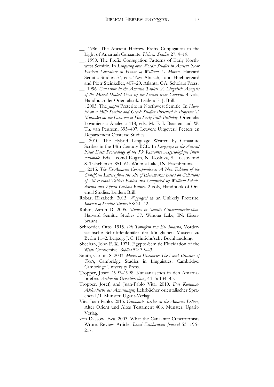- \_\_. 1986. The Ancient Hebrew Prefix Conjugation in the Light of Amarnah Canaanite. *Hebrew Studies* 27: 4–19.
- \_\_. 1990. The Prefix Conjugation Patterns of Early Northwest Semitic. In *Lingering over Words: Studies in Ancient Near Eastern Literature in Honor of William L. Moran*. Harvard Semitic Studies 37, eds. Tzvi Abusch, John Huehnergard and Piotr Steinkeller, 407–20. Atlanta, GA: Scholars Press.
- \_\_. 1996. *Canaanite in the Amarna Tablets: A Linguistic Analysis of the Mixed Dialect Used by the Scribes from Canaan*. 4 vols, Handbuch der Orientalistik. Leiden: E. J. Brill.
- \_\_. 2003. The *yaqtul* Preterite in Northwest Semitic. In *Hamlet on a Hill: Semitic and Greek Studies Presented to Professor T. Muraoka on the Occasion of His Sixty-Fifth Birthday*. Orientalia Lovaniensia Analecta 118, eds. M. F. J. Baasten and W. Th. van Peursen, 395–407. Leuven: Uitgeverij Peeters en Departement Oosterse Studies.
- \_\_. 2010. The Hybrid Language Written by Canaanite Scribes in the 14th Century BCE. In *Language in the Ancient Near East: Proceedings of the 53e Rencontre Assyriologique Internationale*. Eds. Leonid Kogan, N. Koslova, S. Loesov and S. Tishchenko, 851–61. Winona Lake, IN: Eisenbrauns.
- \_\_. 2015. *The El-Amarna Correspondence: A New Edition of the Cuneiform Letters from the Site of El-Amarna Based on Collations of All Extant Tablets Edited and Completed by William Schniedewind and Zipora Cochavi-Rainey*. 2 vols, Handbook of Oriental Studies. Leiden: Brill.
- Robar, Elizabeth. 2013. *Wayyiqṭol* as an Unlikely Preterite. *Journal of Semitic Studies* 58: 21–42.
- Rubin, Aaron D. 2005. *Studies in Semitic Grammaticalization*, Harvard Semitic Studies 57. Winona Lake, IN: Eisenbrauns.
- Schroeder, Otto. 1915. *Die Tontafeln von El-Amarna*, Vorderasiatische Schriftdenkmäler der königlichen Museen zu Berlin 11–2. Leipzig: J. C. Hinrichs'sche Buchhandlung.
- Sheehan, John F. X. 1971. Egypto-Semitic Elucidation of the Waw Conversive. *Biblica* 52: 39–43.
- Smith, Carlota S. 2003. *Modes of Discourse: The Local Structure of Texts*, Cambridge Studies in Linguistics. Cambridge: Cambridge University Press.
- Tropper, Josef. 1997–1998. Kanaanäisches in den Amarnabriefen. *Archiv für Orientforschung* 44–5: 134–45.
- Tropper, Josef, and Juan-Pablo Vita. 2010. *Das Kanaano-Akkadische der Amarnazeit*, Lehrbücher orientalischer Sprachen I/1. Münster: Ugarit-Verlag.
- Vita, Juan-Pablo. 2015. *Canaanite Scribes in the Amarna Letters*, Alter Orient und Altes Testament 406. Münster: Ugarit-Verlag.
- von Dassow, Eva. 2003. What the Canaanite Cuneiformists Wrote: Review Article. *Israel Exploration Journal* 53: 196– 217.